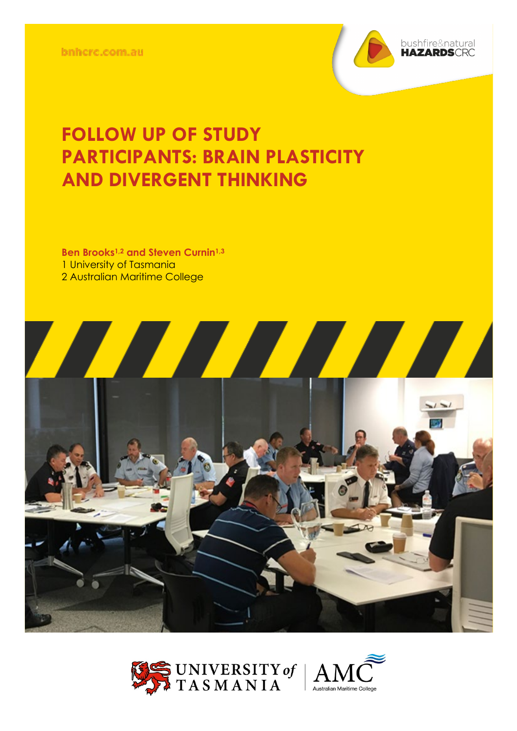bnhcrc.com.au



## **FOLLOW UP OF STUDY PARTICIPANTS: BRAIN PLASTICITY AND DIVERGENT THINKING**

**Ben Brooks1,2 and Steven Curnin1,3** 1 University of Tasmania 2 Australian Maritime College





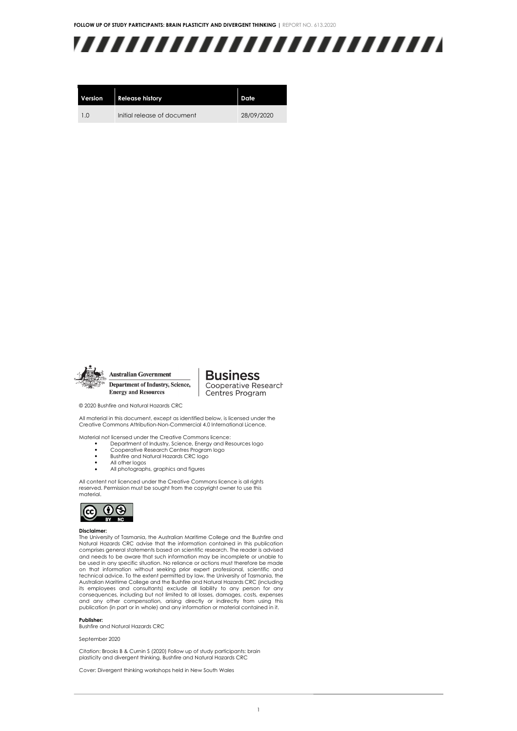

| Version | <b>Release history</b>      | Date       |
|---------|-----------------------------|------------|
| 10      | Initial release of document | 28/09/2020 |



**Australian Government** Department of Industry, Science, **Energy and Resources** 

**Business** Cooperative Research Centres Program

© 2020 Bushfire and Natural Hazards CRC

All material in this document, except as identified below, is licensed under the Creative Commons Attribution-Non-Commercial 4.0 International Licence.

- Material not licensed under the Creative Commons licence:<br>Department of Industry, Science, Energy and Resources logo<br>Cooperative Research Centres Program logo
	- - Bushfire and Natural Hazards CRC logo
		- All other logos
		- All photographs, graphics and figures

All content not licenced under the Creative Commons licence is all rights reserved. Permission must be sought from the copyright owner to use this material.



#### **Disclaimer:**

The University of Tasmania, the Australian Maritime College and the Bushfire and Natural Hazards CRC advise that the information contained in this publication comprises general statements based on scientific research. The reader is advised and needs to be aware that such information may be incomplete or unable to be used in any specific situation. No reliance or actions must therefore be made on that information without seeking prior expert professional, scientific and technical advice. To the extent permitted by law, the University of Tasmania, the Australian Maritime College and the Bushfire and Natural Hazards CRC (including its employees and consultants) exclude all liability to any person for any consequences, including but not limited to all losses, damages, costs, expenses and any other compensation, arising directly or indirectly from using this publication (in part or in whole) and any information or material contained in it.

#### **Publisher:**

Bushfire and Natural Hazards CRC

September 2020

Citation: Brooks B & Curnin S (2020) Follow up of study participants: brain plasticity and divergent thinking, Bushfire and Natural Hazards CRC

Cover: Divergent thinking workshops held in New South Wales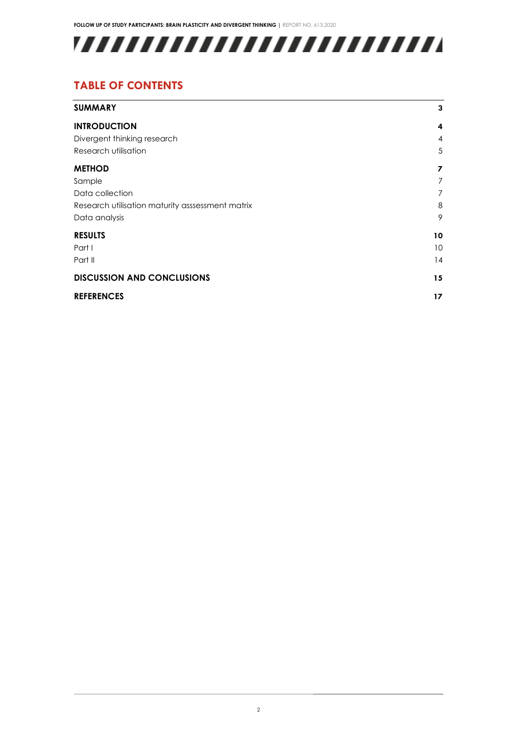

### **TABLE OF CONTENTS**

| <b>SUMMARY</b>                                   | 3               |
|--------------------------------------------------|-----------------|
| <b>INTRODUCTION</b>                              | 4               |
| Divergent thinking research                      | $\overline{4}$  |
| Research utilisation                             | 5               |
| <b>METHOD</b>                                    | 7               |
| Sample                                           | 7               |
| Data collection                                  | 7               |
| Research utilisation maturity asssessment matrix | 8               |
| Data analysis                                    | 9               |
| <b>RESULTS</b>                                   | 10              |
| Part I                                           | 10 <sup>°</sup> |
| Part II                                          | 14              |
| <b>DISCUSSION AND CONCLUSIONS</b>                | 15              |
| <b>REFERENCES</b>                                | 17              |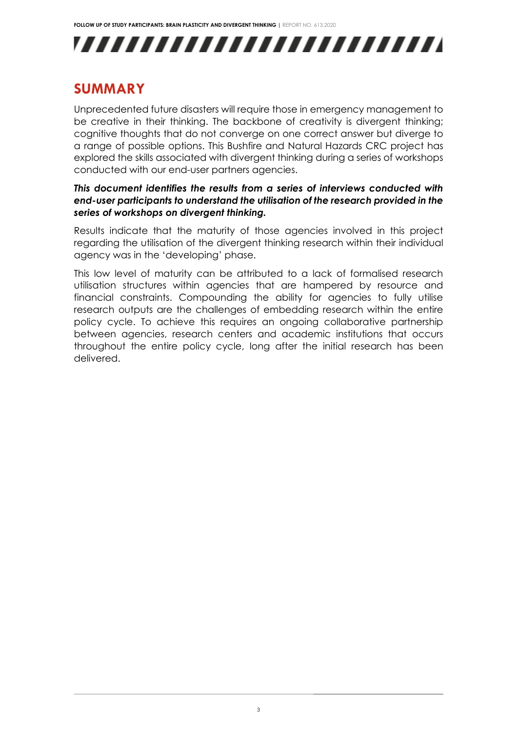

## <span id="page-3-0"></span>**SUMMARY**

Unprecedented future disasters will require those in emergency management to be creative in their thinking. The backbone of creativity is divergent thinking; cognitive thoughts that do not converge on one correct answer but diverge to a range of possible options. This Bushfire and Natural Hazards CRC project has explored the skills associated with divergent thinking during a series of workshops conducted with our end-user partners agencies.

#### *This document identifies the results from a series of interviews conducted with end-user participants to understand the utilisation of the research provided in the series of workshops on divergent thinking.*

Results indicate that the maturity of those agencies involved in this project regarding the utilisation of the divergent thinking research within their individual agency was in the 'developing' phase.

This low level of maturity can be attributed to a lack of formalised research utilisation structures within agencies that are hampered by resource and financial constraints. Compounding the ability for agencies to fully utilise research outputs are the challenges of embedding research within the entire policy cycle. To achieve this requires an ongoing collaborative partnership between agencies, research centers and academic institutions that occurs throughout the entire policy cycle, long after the initial research has been delivered.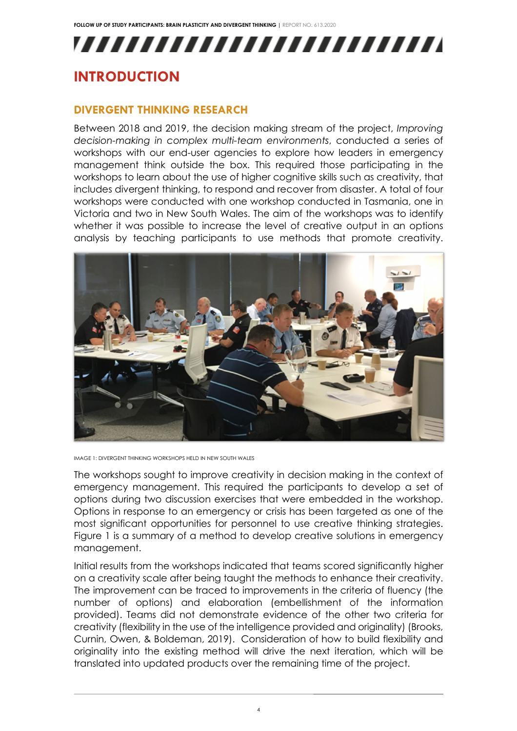# ,,,,,,,,,,,,,,,,,,,,,,,,,

## <span id="page-4-1"></span><span id="page-4-0"></span>**INTRODUCTION**

#### **DIVERGENT THINKING RESEARCH**

Between 2018 and 2019, the decision making stream of the project, *Improving decision-making in complex multi-team environments*, conducted a series of workshops with our end-user agencies to explore how leaders in emergency management think outside the box. This required those participating in the workshops to learn about the use of higher cognitive skills such as creativity, that includes divergent thinking, to respond and recover from disaster. A total of four workshops were conducted with one workshop conducted in Tasmania, one in Victoria and two in New South Wales. The aim of the workshops was to identify whether it was possible to increase the level of creative output in an options analysis by teaching participants to use methods that promote creativity.



IMAGE 1: DIVERGENT THINKING WORKSHOPS HELD IN NEW SOUTH WALES

The workshops sought to improve creativity in decision making in the context of emergency management. This required the participants to develop a set of options during two discussion exercises that were embedded in the workshop. Options in response to an emergency or crisis has been targeted as one of the most significant opportunities for personnel to use creative thinking strategies. Figure 1 is a summary of a method to develop creative solutions in emergency management.

Initial results from the workshops indicated that teams scored significantly higher on a creativity scale after being taught the methods to enhance their creativity. The improvement can be traced to improvements in the criteria of fluency (the number of options) and elaboration (embellishment of the information provided). Teams did not demonstrate evidence of the other two criteria for creativity (flexibility in the use of the intelligence provided and originality) (Brooks, Curnin, Owen, & Boldeman, 2019). Consideration of how to build flexibility and originality into the existing method will drive the next iteration, which will be translated into updated products over the remaining time of the project.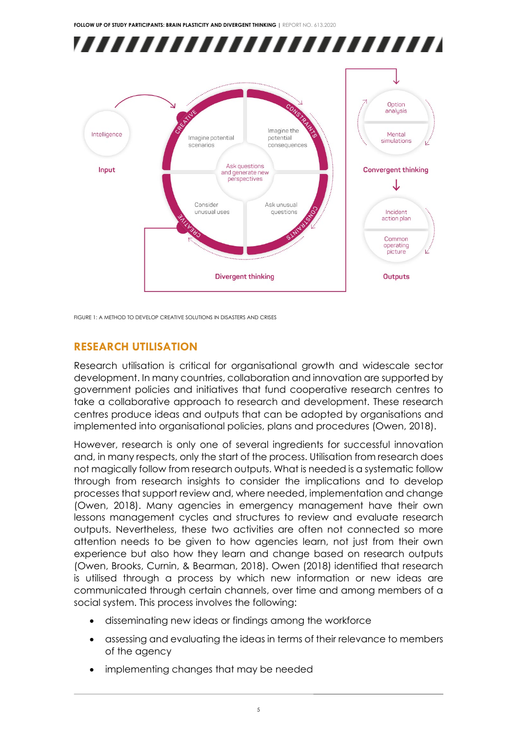



<span id="page-5-0"></span>FIGURE 1: A METHOD TO DEVELOP CREATIVE SOLUTIONS IN DISASTERS AND CRISES

#### **RESEARCH UTILISATION**

Research utilisation is critical for organisational growth and widescale sector development. In many countries, collaboration and innovation are supported by government policies and initiatives that fund cooperative research centres to take a collaborative approach to research and development. These research centres produce ideas and outputs that can be adopted by organisations and implemented into organisational policies, plans and procedures (Owen, 2018).

However, research is only one of several ingredients for successful innovation and, in many respects, only the start of the process. Utilisation from research does not magically follow from research outputs. What is needed is a systematic follow through from research insights to consider the implications and to develop processes that support review and, where needed, implementation and change (Owen, 2018). Many agencies in emergency management have their own lessons management cycles and structures to review and evaluate research outputs. Nevertheless, these two activities are often not connected so more attention needs to be given to how agencies learn, not just from their own experience but also how they learn and change based on research outputs (Owen, Brooks, Curnin, & Bearman, 2018). Owen (2018) identified that research is utilised through a process by which new information or new ideas are communicated through certain channels, over time and among members of a social system. This process involves the following:

- disseminating new ideas or findings among the workforce
- assessing and evaluating the ideas in terms of their relevance to members of the agency
- implementing changes that may be needed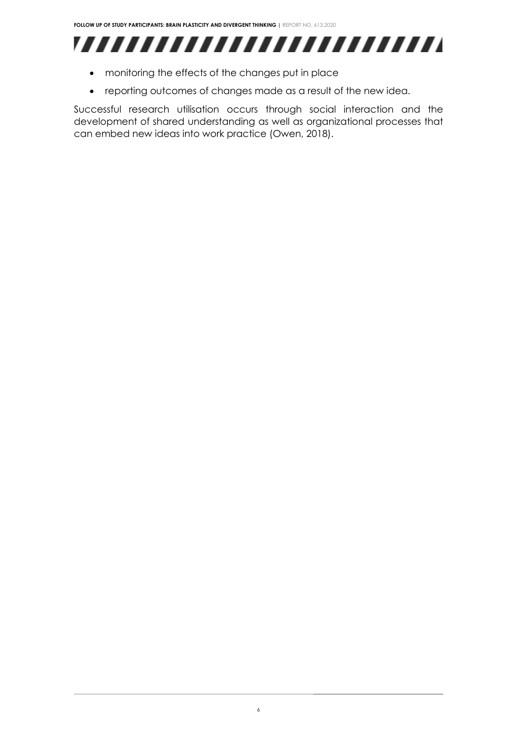

- monitoring the effects of the changes put in place
- reporting outcomes of changes made as a result of the new idea.

Successful research utilisation occurs through social interaction and the development of shared understanding as well as organizational processes that can embed new ideas into work practice (Owen, 2018).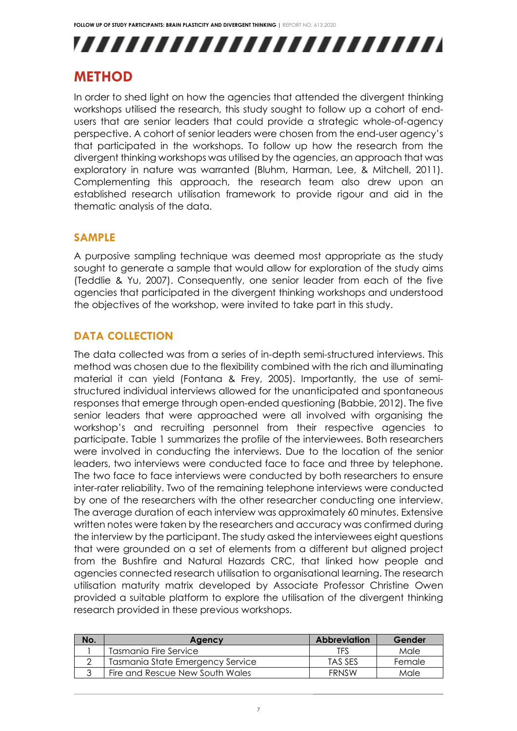## ,,,,,,,,,,,,,,,,,,,,,,,,,

## <span id="page-7-0"></span>**METHOD**

In order to shed light on how the agencies that attended the divergent thinking workshops utilised the research, this study sought to follow up a cohort of endusers that are senior leaders that could provide a strategic whole-of-agency perspective. A cohort of senior leaders were chosen from the end-user agency's that participated in the workshops. To follow up how the research from the divergent thinking workshops was utilised by the agencies, an approach that was exploratory in nature was warranted (Bluhm, Harman, Lee, & Mitchell, 2011). Complementing this approach, the research team also drew upon an established research utilisation framework to provide rigour and aid in the thematic analysis of the data.

#### <span id="page-7-1"></span>**SAMPLE**

A purposive sampling technique was deemed most appropriate as the study sought to generate a sample that would allow for exploration of the study aims (Teddlie & Yu, 2007). Consequently, one senior leader from each of the five agencies that participated in the divergent thinking workshops and understood the objectives of the workshop, were invited to take part in this study.

### <span id="page-7-2"></span>**DATA COLLECTION**

The data collected was from a series of in-depth semi-structured interviews. This method was chosen due to the flexibility combined with the rich and illuminating material it can yield (Fontana & Frey, 2005). Importantly, the use of semistructured individual interviews allowed for the unanticipated and spontaneous responses that emerge through open-ended questioning (Babbie, 2012). The five senior leaders that were approached were all involved with organising the workshop's and recruiting personnel from their respective agencies to participate. Table 1 summarizes the profile of the interviewees. Both researchers were involved in conducting the interviews. Due to the location of the senior leaders, two interviews were conducted face to face and three by telephone. The two face to face interviews were conducted by both researchers to ensure inter-rater reliability. Two of the remaining telephone interviews were conducted by one of the researchers with the other researcher conducting one interview. The average duration of each interview was approximately 60 minutes. Extensive written notes were taken by the researchers and accuracy was confirmed during the interview by the participant. The study asked the interviewees eight questions that were grounded on a set of elements from a different but aligned project from the Bushfire and Natural Hazards CRC, that linked how people and agencies connected research utilisation to organisational learning. The research utilisation maturity matrix developed by Associate Professor Christine Owen provided a suitable platform to explore the utilisation of the divergent thinking research provided in these previous workshops.

| No. | Agency                           | <b>Abbreviation</b> | Gender |
|-----|----------------------------------|---------------------|--------|
|     | Tasmania Fire Service            | <b>TFS</b>          | Male   |
|     | Tasmania State Emergency Service | TAS SES             | Female |
|     | Fire and Rescue New South Wales  | <b>FRNSW</b>        | Male   |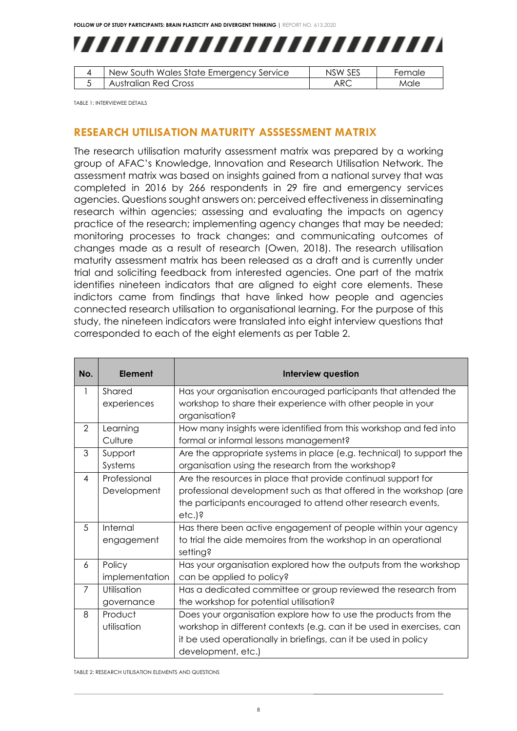|  | ,,,,,,,,,,,,,,,,,,,,,,,,,,              |         |        |
|--|-----------------------------------------|---------|--------|
|  | New South Wales State Emergency Service | NSW SES | Female |

5 | Australian Red Cross | ARC | Male

<span id="page-8-0"></span>TABLE 1: INTERVIEWEE DETAILS

#### **RESEARCH UTILISATION MATURITY ASSSESSMENT MATRIX**

The research utilisation maturity assessment matrix was prepared by a working group of AFAC's Knowledge, Innovation and Research Utilisation Network. The assessment matrix was based on insights gained from a national survey that was completed in 2016 by 266 respondents in 29 fire and emergency services agencies. Questions sought answers on: perceived effectiveness in disseminating research within agencies; assessing and evaluating the impacts on agency practice of the research; implementing agency changes that may be needed; monitoring processes to track changes; and communicating outcomes of changes made as a result of research (Owen, 2018). The research utilisation maturity assessment matrix has been released as a draft and is currently under trial and soliciting feedback from interested agencies. One part of the matrix identifies nineteen indicators that are aligned to eight core elements. These indictors came from findings that have linked how people and agencies connected research utilisation to organisational learning. For the purpose of this study, the nineteen indicators were translated into eight interview questions that corresponded to each of the eight elements as per Table 2.

| No.            | Element        | <b>Interview question</b>                                                     |  |  |  |
|----------------|----------------|-------------------------------------------------------------------------------|--|--|--|
| 1              | Shared         | Has your organisation encouraged participants that attended the               |  |  |  |
|                | experiences    | workshop to share their experience with other people in your<br>organisation? |  |  |  |
|                |                |                                                                               |  |  |  |
| 2              | Learning       | How many insights were identified from this workshop and fed into             |  |  |  |
|                | Culture        | formal or informal lessons management?                                        |  |  |  |
| 3              | Support        | Are the appropriate systems in place (e.g. technical) to support the          |  |  |  |
|                | Systems        | organisation using the research from the workshop?                            |  |  |  |
| 4              | Professional   | Are the resources in place that provide continual support for                 |  |  |  |
|                | Development    | professional development such as that offered in the workshop (are            |  |  |  |
|                |                | the participants encouraged to attend other research events,                  |  |  |  |
|                |                | $etc.$ )?                                                                     |  |  |  |
| 5              | Internal       | Has there been active engagement of people within your agency                 |  |  |  |
|                | engagement     | to trial the aide memoires from the workshop in an operational                |  |  |  |
|                |                | setting?                                                                      |  |  |  |
| 6              | Policy         | Has your organisation explored how the outputs from the workshop              |  |  |  |
|                | implementation | can be applied to policy?                                                     |  |  |  |
| $\overline{7}$ | Utilisation    | Has a dedicated committee or group reviewed the research from                 |  |  |  |
|                | governance     | the workshop for potential utilisation?                                       |  |  |  |
| 8              | Product        | Does your organisation explore how to use the products from the               |  |  |  |
|                | utilisation    | workshop in different contexts (e.g. can it be used in exercises, can         |  |  |  |
|                |                | it be used operationally in briefings, can it be used in policy               |  |  |  |
|                |                | development, etc.)                                                            |  |  |  |

TABLE 2: RESEARCH UTILISATION ELEMENTS AND QUESTIONS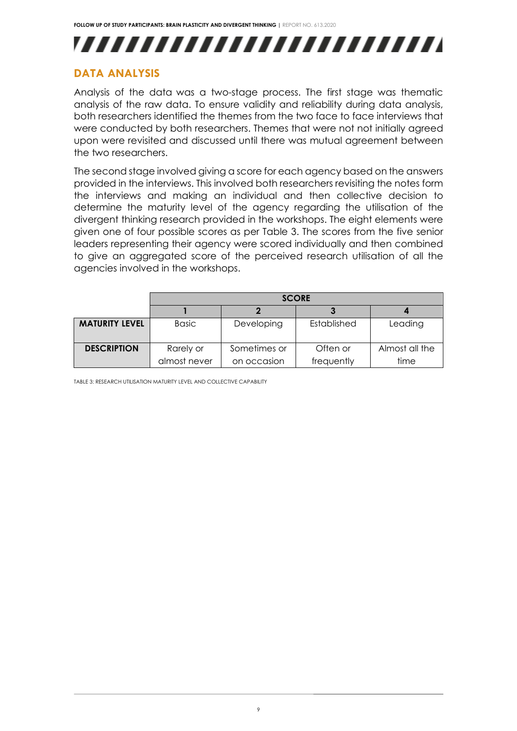## ,,,,,,,,,,,,,,,,,,,,,,,,,

### <span id="page-9-0"></span>**DATA ANALYSIS**

Analysis of the data was a two-stage process. The first stage was thematic analysis of the raw data. To ensure validity and reliability during data analysis, both researchers identified the themes from the two face to face interviews that were conducted by both researchers. Themes that were not not initially agreed upon were revisited and discussed until there was mutual agreement between the two researchers.

The second stage involved giving a score for each agency based on the answers provided in the interviews. This involved both researchers revisiting the notes form the interviews and making an individual and then collective decision to determine the maturity level of the agency regarding the utilisation of the divergent thinking research provided in the workshops. The eight elements were given one of four possible scores as per Table 3. The scores from the five senior leaders representing their agency were scored individually and then combined to give an aggregated score of the perceived research utilisation of all the agencies involved in the workshops.

|                       | <b>SCORE</b>              |                             |                        |                        |  |  |
|-----------------------|---------------------------|-----------------------------|------------------------|------------------------|--|--|
|                       |                           |                             |                        |                        |  |  |
| <b>MATURITY LEVEL</b> | <b>Basic</b>              | Developing                  | Established            | Leading                |  |  |
| <b>DESCRIPTION</b>    | Rarely or<br>almost never | Sometimes or<br>on occasion | Often or<br>frequently | Almost all the<br>time |  |  |

TABLE 3: RESEARCH UTILISATION MATURITY LEVEL AND COLLECTIVE CAPABILITY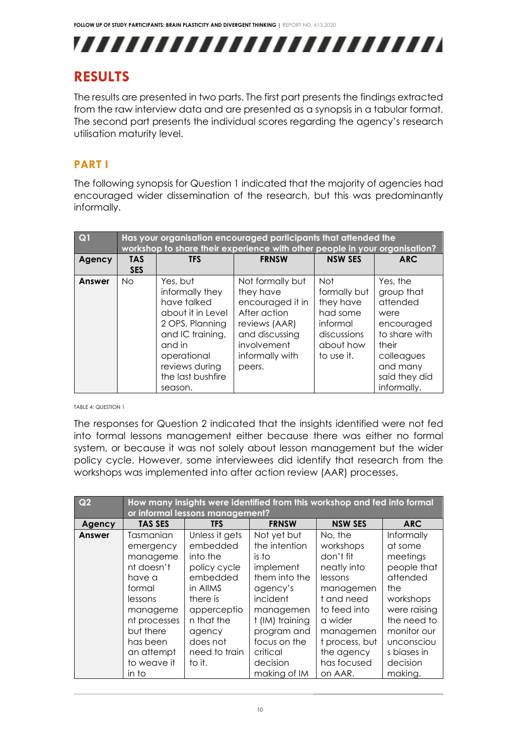

## <span id="page-10-0"></span>**RESULTS**

The results are presented in two parts. The first part presents the findings extracted from the raw interview data and are presented as a synopsis in a tabular format. The second part presents the individual scores regarding the agency's research utilisation maturity level.

#### <span id="page-10-1"></span>**PART I**

The following synopsis for Question 1 indicated that the majority of agencies had encouraged wider dissemination of the research, but this was predominantly informally.

| Q1            |                                                                            | Has your organisation encouraged participants that attended the |                  |                |               |  |  |  |  |
|---------------|----------------------------------------------------------------------------|-----------------------------------------------------------------|------------------|----------------|---------------|--|--|--|--|
|               | workshop to share their experience with other people in your organisation? |                                                                 |                  |                |               |  |  |  |  |
| Agency        | <b>TAS</b>                                                                 | <b>TFS</b>                                                      | <b>FRNSW</b>     | <b>NSW SES</b> | <b>ARC</b>    |  |  |  |  |
|               | <b>SES</b>                                                                 |                                                                 |                  |                |               |  |  |  |  |
| <b>Answer</b> | No.                                                                        | Yes, but                                                        | Not formally but | <b>Not</b>     | Yes, the      |  |  |  |  |
|               |                                                                            | informally they                                                 | they have        | formally but   | group that    |  |  |  |  |
|               |                                                                            | have talked                                                     | encouraged it in | they have      | attended      |  |  |  |  |
|               |                                                                            | about it in Level                                               | After action     | had some       | were          |  |  |  |  |
|               |                                                                            | 2 OPS, Planning                                                 | reviews (AAR)    | informal       | encouraged    |  |  |  |  |
|               |                                                                            | and IC training,                                                | and discussing   | discussions    | to share with |  |  |  |  |
|               |                                                                            | and in                                                          | involvement      | about how      | their         |  |  |  |  |
|               |                                                                            | operational                                                     | informally with  | to use it.     | colleagues    |  |  |  |  |
|               |                                                                            | reviews during                                                  | peers.           |                | and many      |  |  |  |  |
|               |                                                                            | the last bushfire                                               |                  |                | said they did |  |  |  |  |
|               |                                                                            | season.                                                         |                  |                | informally.   |  |  |  |  |

TABLE 4: QUESTION 1

The responses for Question 2 indicated that the insights identified were not fed into formal lessons management either because there was either no formal system, or because it was not solely about lesson management but the wider policy cycle. However, some interviewees did identify that research from the workshops was implemented into after action review (AAR) processes.

| Q <sub>2</sub> | How many insights were identified from this workshop and fed into formal<br>or informal lessons management? |                |                 |                |              |  |
|----------------|-------------------------------------------------------------------------------------------------------------|----------------|-----------------|----------------|--------------|--|
| Agency         | <b>TAS SES</b>                                                                                              | <b>TFS</b>     | <b>FRNSW</b>    | <b>NSW SES</b> | <b>ARC</b>   |  |
| <b>Answer</b>  | Tasmanian                                                                                                   | Unless it gets | Not yet but     | No, the        | Informally   |  |
|                | emergency                                                                                                   | embedded       | the intention   | workshops      | at some      |  |
|                | manageme                                                                                                    | into the       | is to           | don't fit      | meetings     |  |
|                | nt doesn't                                                                                                  | policy cycle   | implement       | neatly into    | people that  |  |
|                | have a                                                                                                      | embedded       | them into the   | lessons        | attended     |  |
|                | formal                                                                                                      | in AllMS       | agency's        | managemen      | the          |  |
|                | lessons                                                                                                     | there is       | incident        | t and need     | workshops    |  |
|                | manageme                                                                                                    | apperceptio    | managemen       | to feed into   | were raising |  |
|                | nt processes                                                                                                | n that the     | t (IM) training | a wider        | the need to  |  |
|                | but there                                                                                                   | agency         | program and     | managemen      | monitor our  |  |
|                | has been                                                                                                    | does not       | focus on the    | t process, but | unconsciou   |  |
|                | an attempt                                                                                                  | need to train  | critical        | the agency     | s biases in  |  |
|                | to weave it                                                                                                 | to it.         | decision        | has focused    | decision     |  |
|                | in to                                                                                                       |                | making of IM    | on AAR.        | making.      |  |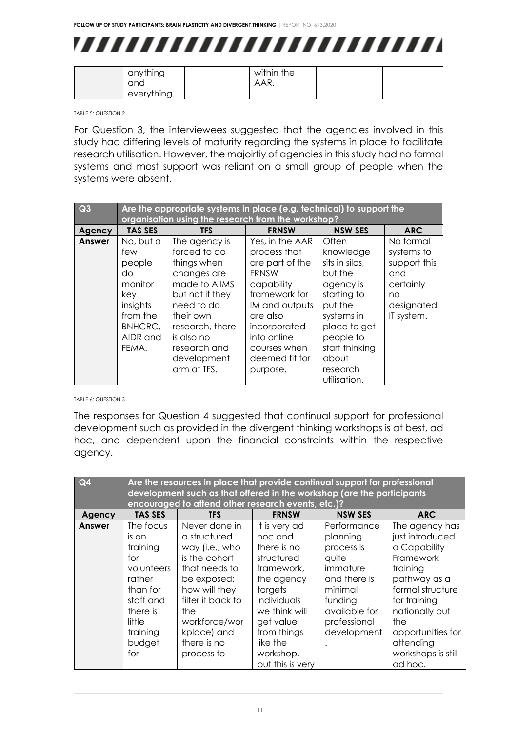

| anything    | within the |  |
|-------------|------------|--|
| and         | AAR.       |  |
| everything. |            |  |

TABLE 5: QUESTION 2

For Question 3, the interviewees suggested that the agencies involved in this study had differing levels of maturity regarding the systems in place to facilitate research utilisation. However, the majoirtiy of agencies in this study had no formal systems and most support was reliant on a small group of people when the systems were absent.

| Q3     | Are the appropriate systems in place (e.g. technical) to support the<br>organisation using the research from the workshop? |                                                                                                                                                                                                           |                                                                                                                                                                                                              |                                                                                                                                                                                          |                                                                                               |  |
|--------|----------------------------------------------------------------------------------------------------------------------------|-----------------------------------------------------------------------------------------------------------------------------------------------------------------------------------------------------------|--------------------------------------------------------------------------------------------------------------------------------------------------------------------------------------------------------------|------------------------------------------------------------------------------------------------------------------------------------------------------------------------------------------|-----------------------------------------------------------------------------------------------|--|
| Agency | <b>TAS SES</b>                                                                                                             | <b>TFS</b>                                                                                                                                                                                                | <b>FRNSW</b>                                                                                                                                                                                                 | <b>NSW SES</b>                                                                                                                                                                           | <b>ARC</b>                                                                                    |  |
| Answer | No, but a<br>few<br>people<br>do<br>monitor<br>key<br>insights<br>from the<br>BNHCRC,<br>AIDR and<br>FEMA.                 | The agency is<br>forced to do<br>things when<br>changes are<br>made to AllMS<br>but not if they<br>need to do<br>their own<br>research, there<br>is also no<br>research and<br>development<br>arm at TFS. | Yes, in the AAR<br>process that<br>are part of the<br><b>FRNSW</b><br>capability<br>framework for<br>IM and outputs<br>are also<br>incorporated<br>into online<br>courses when<br>deemed fit for<br>purpose. | Often<br>knowledge<br>sits in silos,<br>but the<br>agency is<br>starting to<br>put the<br>systems in<br>place to get<br>people to<br>start thinking<br>about<br>research<br>utilisation. | No formal<br>systems to<br>support this<br>and<br>certainly<br>no<br>designated<br>IT system. |  |

TABLE 6: QUESTION 3

The responses for Question 4 suggested that continual support for professional development such as provided in the divergent thinking workshops is at best, ad hoc, and dependent upon the financial constraints within the respective agency.

| Q <sub>4</sub> | Are the resources in place that provide continual support for professional<br>development such as that offered in the workshop (are the participants<br>encouraged to attend other research events, etc.)? |                   |                  |                |                    |  |
|----------------|------------------------------------------------------------------------------------------------------------------------------------------------------------------------------------------------------------|-------------------|------------------|----------------|--------------------|--|
| Agency         | <b>TAS SES</b>                                                                                                                                                                                             | <b>TFS</b>        | <b>FRNSW</b>     | <b>NSW SES</b> | <b>ARC</b>         |  |
| <b>Answer</b>  | The focus                                                                                                                                                                                                  | Never done in     | It is very ad    | Performance    | The agency has     |  |
|                | is on                                                                                                                                                                                                      | a structured      | hoc and          | planning       | just introduced    |  |
|                | training                                                                                                                                                                                                   | way (i.e., who    | there is no      | process is     | a Capability       |  |
|                | for                                                                                                                                                                                                        | is the cohort     | structured       | quite          | Framework          |  |
|                | volunteers                                                                                                                                                                                                 | that needs to     | framework,       | immature       | training           |  |
|                | rather                                                                                                                                                                                                     | be exposed;       | the agency       | and there is   | pathway as a       |  |
|                | than for                                                                                                                                                                                                   | how will they     | targets          | minimal        | formal structure   |  |
|                | staff and                                                                                                                                                                                                  | filter it back to | individuals      | funding        | for training       |  |
|                | there is                                                                                                                                                                                                   | the               | we think will    | available for  | nationally but     |  |
|                | little                                                                                                                                                                                                     | workforce/wor     | get value        | professional   | the                |  |
|                | training                                                                                                                                                                                                   | kplace) and       | from things      | development    | opportunities for  |  |
|                | budget                                                                                                                                                                                                     | there is no       | like the         |                | attending          |  |
|                | for                                                                                                                                                                                                        | process to        | workshop,        |                | workshops is still |  |
|                |                                                                                                                                                                                                            |                   | but this is very |                | ad hoc.            |  |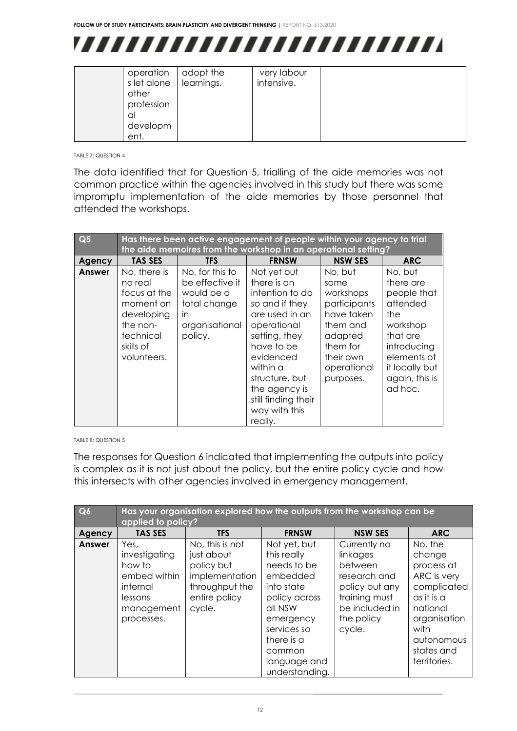

| operation<br>s let alone<br>other<br>profession<br>al | adopt the<br>learnings. | very labour<br>intensive. |  |
|-------------------------------------------------------|-------------------------|---------------------------|--|
| developm<br>ent.                                      |                         |                           |  |

TABLE 7: QUESTION 4

The data identified that for Question 5, trialling of the aide memories was not common practice within the agencies involved in this study but there was some impromptu implementation of the aide memories by those personnel that attended the workshops.

| Q <sub>5</sub> | Has there been active engagement of people within your agency to trial<br>the aide memoires from the workshop in an operational setting? |                                                                                                     |                                                                                                                                                                                                                                                |                                                                                                                                        |                                                                                                                                                             |  |  |  |
|----------------|------------------------------------------------------------------------------------------------------------------------------------------|-----------------------------------------------------------------------------------------------------|------------------------------------------------------------------------------------------------------------------------------------------------------------------------------------------------------------------------------------------------|----------------------------------------------------------------------------------------------------------------------------------------|-------------------------------------------------------------------------------------------------------------------------------------------------------------|--|--|--|
| Agency         | <b>TAS SES</b>                                                                                                                           | <b>TFS</b>                                                                                          | <b>FRNSW</b>                                                                                                                                                                                                                                   | <b>NSW SES</b>                                                                                                                         | <b>ARC</b>                                                                                                                                                  |  |  |  |
| Answer         | No, there is<br>no real<br>focus at the<br>moment on<br>developing<br>the non-<br>technical<br>skills of<br>volunteers.                  | No, for this to<br>be effective it<br>would be a<br>total change<br>in<br>organisational<br>policy. | Not yet but<br>there is an<br>intention to do<br>so and if they<br>are used in an<br>operational<br>setting, they<br>have to be<br>evidenced<br>within a<br>structure, but<br>the agency is<br>still finding their<br>way with this<br>really. | No, but<br>some<br>workshops<br>participants<br>have taken<br>them and<br>adapted<br>them for<br>their own<br>operational<br>purposes. | No, but<br>there are<br>people that<br>attended<br>the<br>workshop<br>that are<br>introducing<br>elements of<br>it locally but<br>again, this is<br>ad hoc. |  |  |  |

TABLE 8: QUESTION 5

The responses for Question 6 indicated that implementing the outputs into policy is complex as it is not just about the policy, but the entire policy cycle and how this intersects with other agencies involved in emergency management.

| Q6            | Has your organisation explored how the outputs from the workshop can be<br>applied to policy?      |                                                                                                            |                                                                                                                                                                                        |                                                                                                                                  |                                                                                                                                                                 |  |  |
|---------------|----------------------------------------------------------------------------------------------------|------------------------------------------------------------------------------------------------------------|----------------------------------------------------------------------------------------------------------------------------------------------------------------------------------------|----------------------------------------------------------------------------------------------------------------------------------|-----------------------------------------------------------------------------------------------------------------------------------------------------------------|--|--|
| <b>Agency</b> | <b>TAS SES</b>                                                                                     | <b>TFS</b>                                                                                                 | <b>FRNSW</b>                                                                                                                                                                           | <b>NSW SES</b>                                                                                                                   | <b>ARC</b>                                                                                                                                                      |  |  |
| <b>Answer</b> | Yes,<br>investigating<br>how to<br>embed within<br>internal<br>lessons<br>management<br>processes. | No, this is not<br>just about<br>policy but<br>implementation<br>throughput the<br>entire policy<br>cycle. | Not yet, but<br>this really<br>needs to be<br>embedded<br>into state<br>policy across<br>all NSW<br>emergency<br>services so<br>there is a<br>common<br>language and<br>understanding. | Currently no<br>linkages<br>between<br>research and<br>policy but any<br>training must<br>be included in<br>the policy<br>cycle. | No, the<br>change<br>process at<br>ARC is very<br>complicated<br>$as$ it is $a$<br>national<br>organisation<br>with<br>autonomous<br>states and<br>territories. |  |  |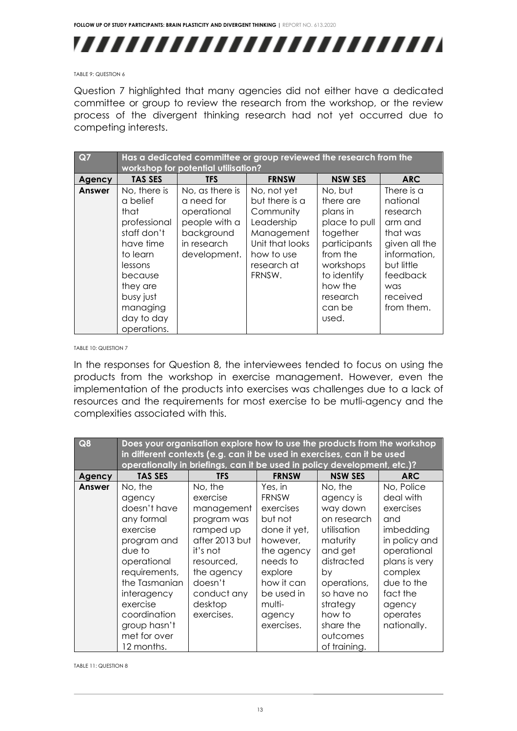

#### TABLE 9: QUESTION 6

Question 7 highlighted that many agencies did not either have a dedicated committee or group to review the research from the workshop, or the review process of the divergent thinking research had not yet occurred due to competing interests.

| Q7            | Has a dedicated committee or group reviewed the research from the<br>workshop for potential utilisation?                                                                         |                                                                                                            |                                                                                                                                  |                                                                                                                                                                 |                                                                                                                                                       |  |  |  |
|---------------|----------------------------------------------------------------------------------------------------------------------------------------------------------------------------------|------------------------------------------------------------------------------------------------------------|----------------------------------------------------------------------------------------------------------------------------------|-----------------------------------------------------------------------------------------------------------------------------------------------------------------|-------------------------------------------------------------------------------------------------------------------------------------------------------|--|--|--|
| Agency        | <b>TAS SES</b>                                                                                                                                                                   | <b>TFS</b>                                                                                                 | <b>FRNSW</b>                                                                                                                     | <b>NSW SES</b>                                                                                                                                                  | <b>ARC</b>                                                                                                                                            |  |  |  |
| <b>Answer</b> | No, there is<br>a belief<br>that<br>professional<br>staff don't<br>have time<br>to learn<br>lessons<br>because<br>they are<br>busy just<br>managing<br>day to day<br>operations. | No, as there is<br>a need for<br>operational<br>people with a<br>background<br>in research<br>development. | No, not yet<br>but there is a<br>Community<br>Leadership<br>Management<br>Unit that looks<br>how to use<br>research at<br>FRNSW. | No, but<br>there are<br>plans in<br>place to pull<br>together<br>participants<br>from the<br>workshops<br>to identify<br>how the<br>research<br>can be<br>used. | There is a<br>national<br>research<br>arm and<br>that was<br>given all the<br>information,<br>but little<br>feedback<br>was<br>received<br>from them. |  |  |  |

TABLE 10: QUESTION 7

In the responses for Question 8, the interviewees tended to focus on using the products from the workshop in exercise management. However, even the implementation of the products into exercises was challenges due to a lack of resources and the requirements for most exercise to be mutli-agency and the complexities associated with this.

| Q8     | Does your organisation explore how to use the products from the workshop<br>in different contexts (e.g. can it be used in exercises, can it be used<br>operationally in briefings, can it be used in policy development, etc.)? |                                                                                                                                                                            |                                                                                                                                                                                |                                                                                                                                                                                                       |                                                                                                                                                                                     |  |  |  |
|--------|---------------------------------------------------------------------------------------------------------------------------------------------------------------------------------------------------------------------------------|----------------------------------------------------------------------------------------------------------------------------------------------------------------------------|--------------------------------------------------------------------------------------------------------------------------------------------------------------------------------|-------------------------------------------------------------------------------------------------------------------------------------------------------------------------------------------------------|-------------------------------------------------------------------------------------------------------------------------------------------------------------------------------------|--|--|--|
| Agency | <b>TAS SES</b>                                                                                                                                                                                                                  | <b>TFS</b>                                                                                                                                                                 | <b>FRNSW</b>                                                                                                                                                                   | <b>NSW SES</b>                                                                                                                                                                                        | <b>ARC</b>                                                                                                                                                                          |  |  |  |
| Answer | No, the<br>agency<br>doesn't have<br>any formal<br>exercise<br>program and<br>due to<br>operational<br>requirements,<br>the Tasmanian<br>interagency<br>exercise<br>coordination<br>group hasn't<br>met for over<br>12 months.  | No, the<br>exercise<br>management<br>program was<br>ramped up<br>after 2013 but<br>it's not<br>resourced,<br>the agency<br>doesn't<br>conduct any<br>desktop<br>exercises. | Yes, in<br><b>FRNSW</b><br>exercises<br>but not<br>done it yet,<br>however,<br>the agency<br>needs to<br>explore<br>how it can<br>be used in<br>multi-<br>agency<br>exercises. | No, the<br>agency is<br>way down<br>on research<br>utilisation<br>maturity<br>and get<br>distracted<br>by<br>operations,<br>so have no<br>strategy<br>how to<br>share the<br>outcomes<br>of training. | No, Police<br>deal with<br>exercises<br>and<br>imbedding<br>in policy and<br>operational<br>plans is very<br>complex<br>due to the<br>fact the<br>agency<br>operates<br>nationally. |  |  |  |

TABLE 11: QUESTION 8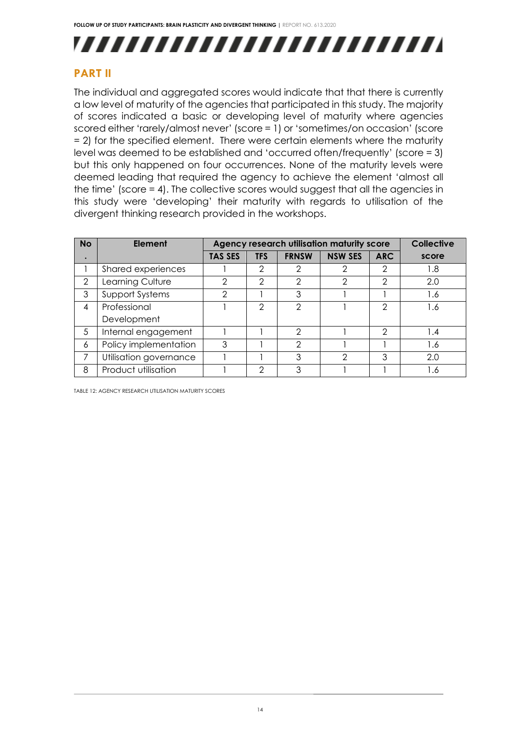# ,,,,,,,,,,,,,,,,,,,,,,,,,

#### <span id="page-14-0"></span>**PART II**

The individual and aggregated scores would indicate that that there is currently a low level of maturity of the agencies that participated in this study. The majority of scores indicated a basic or developing level of maturity where agencies scored either 'rarely/almost never' (score = 1) or 'sometimes/on occasion' (score = 2) for the specified element. There were certain elements where the maturity level was deemed to be established and 'occurred often/frequently' (score = 3) but this only happened on four occurrences. None of the maturity levels were deemed leading that required the agency to achieve the element 'almost all the time' (score = 4). The collective scores would suggest that all the agencies in this study were 'developing' their maturity with regards to utilisation of the divergent thinking research provided in the workshops.

| <b>No</b>     | Element                | Agency research utilisation maturity score |               |               |                |            | <b>Collective</b> |
|---------------|------------------------|--------------------------------------------|---------------|---------------|----------------|------------|-------------------|
| $\bullet$     |                        | <b>TAS SES</b>                             | <b>TFS</b>    | <b>FRNSW</b>  | <b>NSW SES</b> | <b>ARC</b> | score             |
|               | Shared experiences     |                                            | 2             | $\mathcal{P}$ | 2              | 2          | 1.8               |
| $\mathcal{P}$ | Learning Culture       | 2                                          | 2             | 2             | $\mathcal{P}$  | 2          | 2.0               |
| 3             | <b>Support Systems</b> | $\mathcal{P}$                              |               | 3             |                |            | 1.6               |
| 4             | Professional           |                                            | $\mathcal{P}$ | $\mathcal{P}$ |                | っ          | 1.6               |
|               | Development            |                                            |               |               |                |            |                   |
| 5             | Internal engagement    |                                            |               | $\mathcal{P}$ |                | 2          | 1.4               |
| 6             | Policy implementation  | 3                                          |               | 2             |                |            | 1.6               |
|               | Utilisation governance |                                            |               | 3             | っ              | 3          | 2.0               |
| 8             | Product utilisation    |                                            | ⌒             | 3             |                |            | 1.6               |

TABLE 12: AGENCY RESEARCH UTILISATION MATURITY SCORES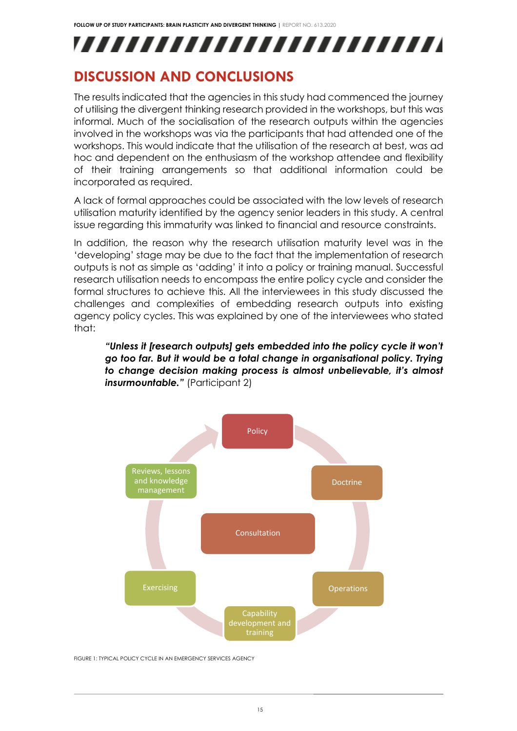,,,,,,,,,,,,,,,,,,,,,,,,,

### <span id="page-15-0"></span>**DISCUSSION AND CONCLUSIONS**

The results indicated that the agencies in this study had commenced the journey of utilising the divergent thinking research provided in the workshops, but this was informal. Much of the socialisation of the research outputs within the agencies involved in the workshops was via the participants that had attended one of the workshops. This would indicate that the utilisation of the research at best, was ad hoc and dependent on the enthusiasm of the workshop attendee and flexibility of their training arrangements so that additional information could be incorporated as required.

A lack of formal approaches could be associated with the low levels of research utilisation maturity identified by the agency senior leaders in this study. A central issue regarding this immaturity was linked to financial and resource constraints.

In addition, the reason why the research utilisation maturity level was in the 'developing' stage may be due to the fact that the implementation of research outputs is not as simple as 'adding' it into a policy or training manual. Successful research utilisation needs to encompass the entire policy cycle and consider the formal structures to achieve this. All the interviewees in this study discussed the challenges and complexities of embedding research outputs into existing agency policy cycles. This was explained by one of the interviewees who stated that:

*"Unless it [research outputs] gets embedded into the policy cycle it won't go too far. But it would be a total change in organisational policy. Trying to change decision making process is almost unbelievable, it's almost insurmountable."* (Participant 2)



FIGURE 1: TYPICAL POLICY CYCLE IN AN EMERGENCY SERVICES AGENCY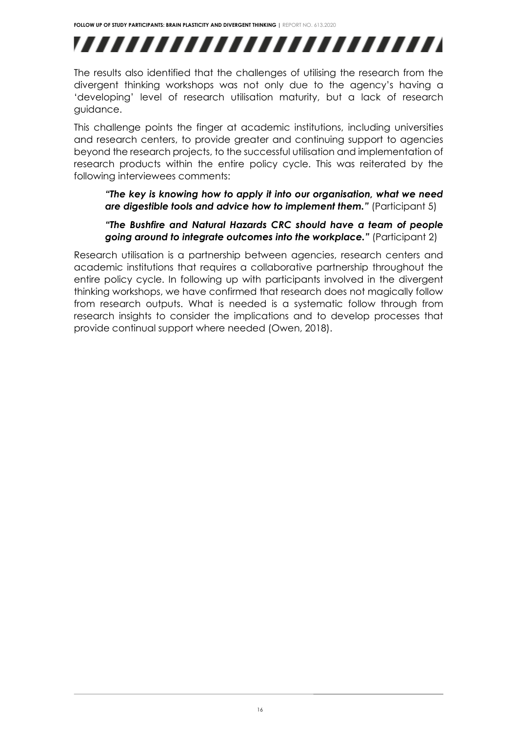# ,,,,,,,,,,,,,,,,,,,,,,,,,

The results also identified that the challenges of utilising the research from the divergent thinking workshops was not only due to the agency's having a 'developing' level of research utilisation maturity, but a lack of research guidance.

This challenge points the finger at academic institutions, including universities and research centers, to provide greater and continuing support to agencies beyond the research projects, to the successful utilisation and implementation of research products within the entire policy cycle. This was reiterated by the following interviewees comments:

*"The key is knowing how to apply it into our organisation, what we need are digestible tools and advice how to implement them."* (Participant 5)

#### *"The Bushfire and Natural Hazards CRC should have a team of people going around to integrate outcomes into the workplace."* (Participant 2)

Research utilisation is a partnership between agencies, research centers and academic institutions that requires a collaborative partnership throughout the entire policy cycle. In following up with participants involved in the divergent thinking workshops, we have confirmed that research does not magically follow from research outputs. What is needed is a systematic follow through from research insights to consider the implications and to develop processes that provide continual support where needed (Owen, 2018).